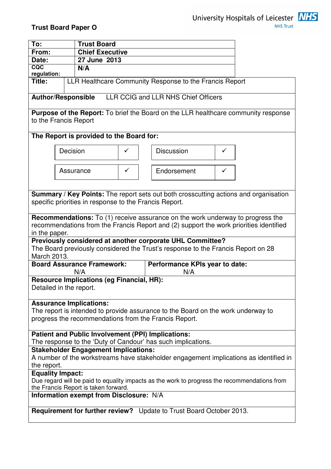

# **Trust Board Paper O**

| To:                                                                                                                                                                                                                                                               |           | <b>Trust Board</b>     |                                       |                   |   |  |
|-------------------------------------------------------------------------------------------------------------------------------------------------------------------------------------------------------------------------------------------------------------------|-----------|------------------------|---------------------------------------|-------------------|---|--|
| From:                                                                                                                                                                                                                                                             |           | <b>Chief Executive</b> |                                       |                   |   |  |
| Date:<br>CQC                                                                                                                                                                                                                                                      |           | 27 June 2013           |                                       |                   |   |  |
| N/A<br>regulation:                                                                                                                                                                                                                                                |           |                        |                                       |                   |   |  |
| LLR Healthcare Community Response to the Francis Report<br>Title:                                                                                                                                                                                                 |           |                        |                                       |                   |   |  |
| LLR CCIG and LLR NHS Chief Officers<br><b>Author/Responsible</b>                                                                                                                                                                                                  |           |                        |                                       |                   |   |  |
| <b>Purpose of the Report:</b> To brief the Board on the LLR healthcare community response<br>to the Francis Report                                                                                                                                                |           |                        |                                       |                   |   |  |
| The Report is provided to the Board for:                                                                                                                                                                                                                          |           |                        |                                       |                   |   |  |
|                                                                                                                                                                                                                                                                   | Decision  |                        | ✓                                     | <b>Discussion</b> | ✓ |  |
|                                                                                                                                                                                                                                                                   | Assurance |                        | ✓                                     | Endorsement       | ✓ |  |
| Summary / Key Points: The report sets out both crosscutting actions and organisation<br>specific priorities in response to the Francis Report.                                                                                                                    |           |                        |                                       |                   |   |  |
| <b>Recommendations:</b> To (1) receive assurance on the work underway to progress the<br>recommendations from the Francis Report and (2) support the work priorities identified<br>in the paper.                                                                  |           |                        |                                       |                   |   |  |
| Previously considered at another corporate UHL Committee?<br>The Board previously considered the Trust's response to the Francis Report on 28<br>March 2013.                                                                                                      |           |                        |                                       |                   |   |  |
| <b>Board Assurance Framework:</b><br>N/A                                                                                                                                                                                                                          |           |                        | Performance KPIs year to date:<br>N/A |                   |   |  |
| <b>Resource Implications (eg Financial, HR):</b><br>Detailed in the report.                                                                                                                                                                                       |           |                        |                                       |                   |   |  |
| <b>Assurance Implications:</b><br>The report is intended to provide assurance to the Board on the work underway to<br>progress the recommendations from the Francis Report.                                                                                       |           |                        |                                       |                   |   |  |
| <b>Patient and Public Involvement (PPI) Implications:</b><br>The response to the 'Duty of Candour' has such implications.<br><b>Stakeholder Engagement Implications:</b><br>A number of the workstreams have stakeholder engagement implications as identified in |           |                        |                                       |                   |   |  |
| the report.                                                                                                                                                                                                                                                       |           |                        |                                       |                   |   |  |
| <b>Equality Impact:</b><br>Due regard will be paid to equality impacts as the work to progress the recommendations from<br>the Francis Report is taken forward.                                                                                                   |           |                        |                                       |                   |   |  |
| Information exempt from Disclosure: N/A                                                                                                                                                                                                                           |           |                        |                                       |                   |   |  |
| <b>Requirement for further review?</b> Update to Trust Board October 2013.                                                                                                                                                                                        |           |                        |                                       |                   |   |  |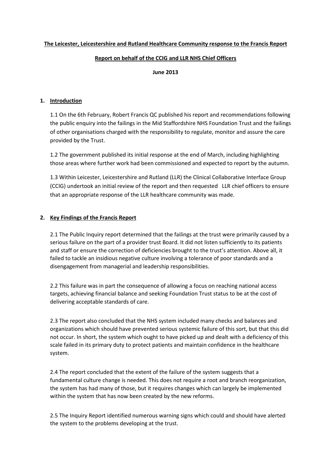#### Report on behalf of the CCIG and LLR NHS Chief Officers

#### June 2013

#### 1. Introduction

1.1 On the 6th February, Robert Francis QC published his report and recommendations following the public enquiry into the failings in the Mid Staffordshire NHS Foundation Trust and the failings of other organisations charged with the responsibility to regulate, monitor and assure the care provided by the Trust.

1.2 The government published its initial response at the end of March, including highlighting those areas where further work had been commissioned and expected to report by the autumn.

1.3 Within Leicester, Leicestershire and Rutland (LLR) the Clinical Collaborative Interface Group (CCIG) undertook an initial review of the report and then requested LLR chief officers to ensure that an appropriate response of the LLR healthcare community was made.

## 2. Key Findings of the Francis Report

2.1 The Public Inquiry report determined that the failings at the trust were primarily caused by a serious failure on the part of a provider trust Board. It did not listen sufficiently to its patients and staff or ensure the correction of deficiencies brought to the trust's attention. Above all, it failed to tackle an insidious negative culture involving a tolerance of poor standards and a disengagement from managerial and leadership responsibilities.

2.2 This failure was in part the consequence of allowing a focus on reaching national access targets, achieving financial balance and seeking Foundation Trust status to be at the cost of delivering acceptable standards of care.

2.3 The report also concluded that the NHS system included many checks and balances and organizations which should have prevented serious systemic failure of this sort, but that this did not occur. In short, the system which ought to have picked up and dealt with a deficiency of this scale failed in its primary duty to protect patients and maintain confidence in the healthcare system.

2.4 The report concluded that the extent of the failure of the system suggests that a fundamental culture change is needed. This does not require a root and branch reorganization, the system has had many of those, but it requires changes which can largely be implemented within the system that has now been created by the new reforms.

2.5 The Inquiry Report identified numerous warning signs which could and should have alerted the system to the problems developing at the trust.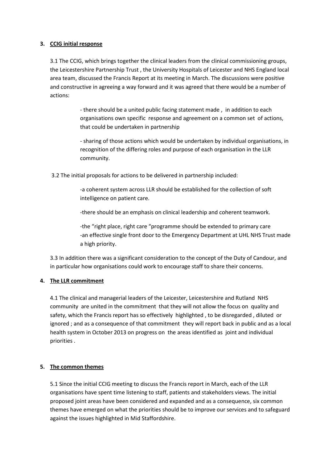#### 3. CCIG initial response

3.1 The CCIG, which brings together the clinical leaders from the clinical commissioning groups, the Leicestershire Partnership Trust , the University Hospitals of Leicester and NHS England local area team, discussed the Francis Report at its meeting in March. The discussions were positive and constructive in agreeing a way forward and it was agreed that there would be a number of actions:

> - there should be a united public facing statement made , in addition to each organisations own specific response and agreement on a common set of actions, that could be undertaken in partnership

- sharing of those actions which would be undertaken by individual organisations, in recognition of the differing roles and purpose of each organisation in the LLR community.

3.2 The initial proposals for actions to be delivered in partnership included:

-a coherent system across LLR should be established for the collection of soft intelligence on patient care.

-there should be an emphasis on clinical leadership and coherent teamwork.

-the "right place, right care "programme should be extended to primary care -an effective single front door to the Emergency Department at UHL NHS Trust made a high priority.

3.3 In addition there was a significant consideration to the concept of the Duty of Candour, and in particular how organisations could work to encourage staff to share their concerns.

## 4. The LLR commitment

4.1 The clinical and managerial leaders of the Leicester, Leicestershire and Rutland NHS community are united in the commitment that they will not allow the focus on quality and safety, which the Francis report has so effectively highlighted , to be disregarded , diluted or ignored ; and as a consequence of that commitment they will report back in public and as a local health system in October 2013 on progress on the areas identified as joint and individual priorities .

## 5. The common themes

5.1 Since the initial CCIG meeting to discuss the Francis report in March, each of the LLR organisations have spent time listening to staff, patients and stakeholders views. The initial proposed joint areas have been considered and expanded and as a consequence, six common themes have emerged on what the priorities should be to improve our services and to safeguard against the issues highlighted in Mid Staffordshire.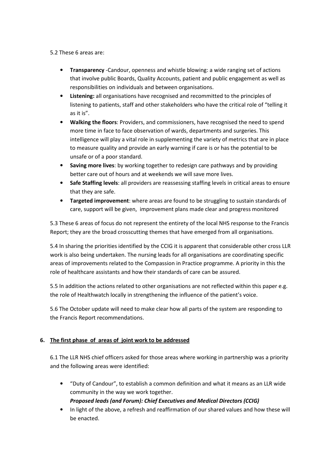5.2 These 6 areas are:

- **Transparency** -Candour, openness and whistle blowing: a wide ranging set of actions that involve public Boards, Quality Accounts, patient and public engagement as well as responsibilities on individuals and between organisations.
- Listening: all organisations have recognised and recommitted to the principles of listening to patients, staff and other stakeholders who have the critical role of "telling it as it is".
- Walking the floors: Providers, and commissioners, have recognised the need to spend more time in face to face observation of wards, departments and surgeries. This intelligence will play a vital role in supplementing the variety of metrics that are in place to measure quality and provide an early warning if care is or has the potential to be unsafe or of a poor standard.
- **Saving more lives:** by working together to redesign care pathways and by providing better care out of hours and at weekends we will save more lives.
- Safe Staffing levels: all providers are reassessing staffing levels in critical areas to ensure that they are safe.
- **Targeted improvement:** where areas are found to be struggling to sustain standards of care, support will be given, improvement plans made clear and progress monitored

5.3 These 6 areas of focus do not represent the entirety of the local NHS response to the Francis Report; they are the broad crosscutting themes that have emerged from all organisations.

5.4 In sharing the priorities identified by the CCIG it is apparent that considerable other cross LLR work is also being undertaken. The nursing leads for all organisations are coordinating specific areas of improvements related to the Compassion in Practice programme. A priority in this the role of healthcare assistants and how their standards of care can be assured.

5.5 In addition the actions related to other organisations are not reflected within this paper e.g. the role of Healthwatch locally in strengthening the influence of the patient's voice.

5.6 The October update will need to make clear how all parts of the system are responding to the Francis Report recommendations.

# 6. The first phase of areas of joint work to be addressed

6.1 The LLR NHS chief officers asked for those areas where working in partnership was a priority and the following areas were identified:

• "Duty of Candour", to establish a common definition and what it means as an LLR wide community in the way we work together.

Proposed leads (and Forum): Chief Executives and Medical Directors (CCIG)

• In light of the above, a refresh and reaffirmation of our shared values and how these will be enacted.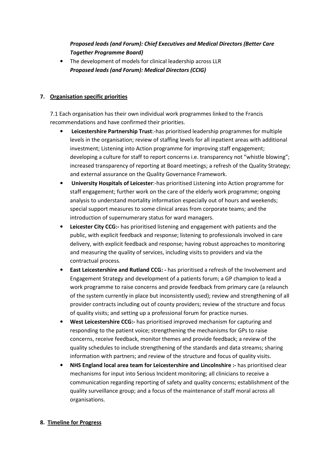# Proposed leads (and Forum): Chief Executives and Medical Directors (Better Care Together Programme Board)

• The development of models for clinical leadership across LLR Proposed leads (and Forum): Medical Directors (CCIG)

# 7. Organisation specific priorities

7.1 Each organisation has their own individual work programmes linked to the Francis recommendations and have confirmed their priorities.

- Leicestershire Partnership Trust:-has prioritised leadership programmes for multiple levels in the organisation; review of staffing levels for all inpatient areas with additional investment; Listening into Action programme for improving staff engagement; developing a culture for staff to report concerns i.e. transparency not "whistle blowing"; increased transparency of reporting at Board meetings; a refresh of the Quality Strategy; and external assurance on the Quality Governance Framework.
- University Hospitals of Leicester:-has prioritised Listening into Action programme for staff engagement; further work on the care of the elderly work programme; ongoing analysis to understand mortality information especially out of hours and weekends; special support measures to some clinical areas from corporate teams; and the introduction of supernumerary status for ward managers.
- Leicester City CCG:- has prioritised listening and engagement with patients and the public, with explicit feedback and response; listening to professionals involved in care delivery, with explicit feedback and response; having robust approaches to monitoring and measuring the quality of services, including visits to providers and via the contractual process.
- East Leicestershire and Rutland CCG: has prioritised a refresh of the Involvement and Engagement Strategy and development of a patients forum; a GP champion to lead a work programme to raise concerns and provide feedback from primary care (a relaunch of the system currently in place but inconsistently used); review and strengthening of all provider contracts including out of county providers; review of the structure and focus of quality visits; and setting up a professional forum for practice nurses.
- West Leicestershire CCG:- has prioritised improved mechanism for capturing and responding to the patient voice; strengthening the mechanisms for GPs to raise concerns, receive feedback, monitor themes and provide feedback; a review of the quality schedules to include strengthening of the standards and data streams; sharing information with partners; and review of the structure and focus of quality visits.
- NHS England local area team for Leicestershire and Lincolnshire :- has prioritised clear mechanisms for input into Serious Incident monitoring; all clinicians to receive a communication regarding reporting of safety and quality concerns; establishment of the quality surveillance group; and a focus of the maintenance of staff moral across all organisations.

## 8. Timeline for Progress